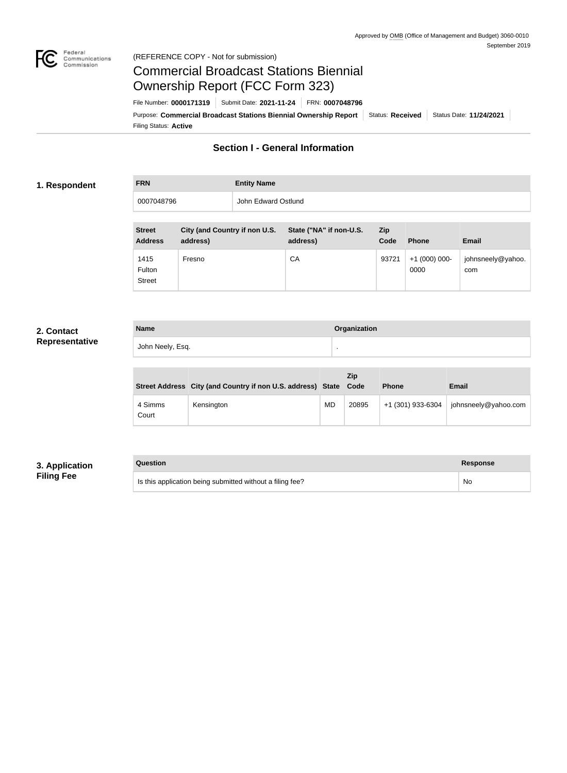

#### Federal<br>Communications<br>Commission (REFERENCE COPY - Not for submission)

# Commercial Broadcast Stations Biennial Ownership Report (FCC Form 323)

Filing Status: **Active** Purpose: Commercial Broadcast Stations Biennial Ownership Report Status: Received | Status Date: 11/24/2021 File Number: **0000171319** Submit Date: **2021-11-24** FRN: **0007048796**

# **Section I - General Information**

#### **1. Respondent**

# **FRN Entity Name** 0007048796 John Edward Ostlund

| <b>Street</b><br><b>Address</b> | City (and Country if non U.S.<br>address) | State ("NA" if non-U.S.<br>address) | Zip<br>Code | <b>Phone</b>         | Email                    |
|---------------------------------|-------------------------------------------|-------------------------------------|-------------|----------------------|--------------------------|
| 1415<br>Fulton<br><b>Street</b> | Fresno                                    | CA                                  | 93721       | $+1(000)000$<br>0000 | johnsneely@yahoo.<br>com |

#### **2. Contact Representative**

| <b>Name</b>      | Organization |
|------------------|--------------|
| John Neely, Esq. |              |

|                  | Street Address City (and Country if non U.S. address) State |           | Zip<br>Code | <b>Phone</b>      | <b>Email</b>         |
|------------------|-------------------------------------------------------------|-----------|-------------|-------------------|----------------------|
| 4 Simms<br>Court | Kensington                                                  | <b>MD</b> | 20895       | +1 (301) 933-6304 | johnsneely@yahoo.com |

### **3. Application Filing Fee**

#### **Question Response**

Is this application being submitted without a filing fee? No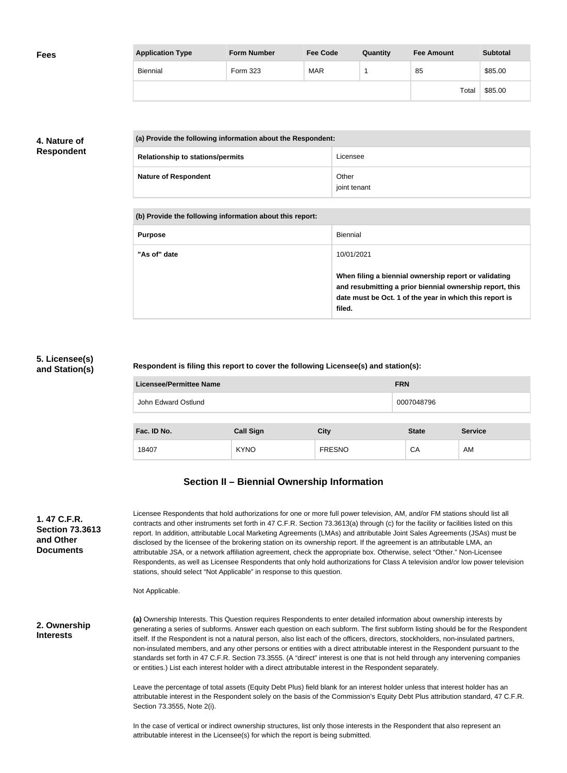| <b>Fees</b> | <b>Application Type</b> | <b>Form Number</b> | <b>Fee Code</b> | Quantity | <b>Fee Amount</b> | <b>Subtotal</b> |
|-------------|-------------------------|--------------------|-----------------|----------|-------------------|-----------------|
|             | Biennial                | Form 323           | <b>MAR</b>      |          | 85                | \$85.00         |
|             |                         |                    |                 |          | Total             | \$85.00         |

# **4. Nature of Respondent**

| (a) Provide the following information about the Respondent: |                       |  |
|-------------------------------------------------------------|-----------------------|--|
| <b>Relationship to stations/permits</b>                     | Licensee              |  |
| <b>Nature of Respondent</b>                                 | Other<br>joint tenant |  |

| (b) Provide the following information about this report: |                                                                                                                                                                                        |
|----------------------------------------------------------|----------------------------------------------------------------------------------------------------------------------------------------------------------------------------------------|
| <b>Purpose</b>                                           | Biennial                                                                                                                                                                               |
| "As of" date                                             | 10/01/2021                                                                                                                                                                             |
|                                                          | When filing a biennial ownership report or validating<br>and resubmitting a prior biennial ownership report, this<br>date must be Oct. 1 of the year in which this report is<br>filed. |

#### **5. Licensee(s) and Station(s)**

#### **Respondent is filing this report to cover the following Licensee(s) and station(s):**

| Licensee/Permittee Name |                  |               | <b>FRN</b>   |                |  |
|-------------------------|------------------|---------------|--------------|----------------|--|
| John Edward Ostlund     |                  |               | 0007048796   |                |  |
|                         |                  |               |              |                |  |
| Fac. ID No.             | <b>Call Sign</b> | <b>City</b>   | <b>State</b> | <b>Service</b> |  |
| 18407                   | <b>KYNO</b>      | <b>FRESNO</b> | CA           | AM             |  |

# **Section II – Biennial Ownership Information**

| 1. 47 C.F.R.           |
|------------------------|
| <b>Section 73.3613</b> |
| and Other              |
| Documents              |

Licensee Respondents that hold authorizations for one or more full power television, AM, and/or FM stations should list all contracts and other instruments set forth in 47 C.F.R. Section 73.3613(a) through (c) for the facility or facilities listed on this report. In addition, attributable Local Marketing Agreements (LMAs) and attributable Joint Sales Agreements (JSAs) must be disclosed by the licensee of the brokering station on its ownership report. If the agreement is an attributable LMA, an attributable JSA, or a network affiliation agreement, check the appropriate box. Otherwise, select "Other." Non-Licensee Respondents, as well as Licensee Respondents that only hold authorizations for Class A television and/or low power television stations, should select "Not Applicable" in response to this question.

Not Applicable.

**2. Ownership Interests**

**(a)** Ownership Interests. This Question requires Respondents to enter detailed information about ownership interests by generating a series of subforms. Answer each question on each subform. The first subform listing should be for the Respondent itself. If the Respondent is not a natural person, also list each of the officers, directors, stockholders, non-insulated partners, non-insulated members, and any other persons or entities with a direct attributable interest in the Respondent pursuant to the standards set forth in 47 C.F.R. Section 73.3555. (A "direct" interest is one that is not held through any intervening companies or entities.) List each interest holder with a direct attributable interest in the Respondent separately.

Leave the percentage of total assets (Equity Debt Plus) field blank for an interest holder unless that interest holder has an attributable interest in the Respondent solely on the basis of the Commission's Equity Debt Plus attribution standard, 47 C.F.R. Section 73.3555, Note 2(i).

In the case of vertical or indirect ownership structures, list only those interests in the Respondent that also represent an attributable interest in the Licensee(s) for which the report is being submitted.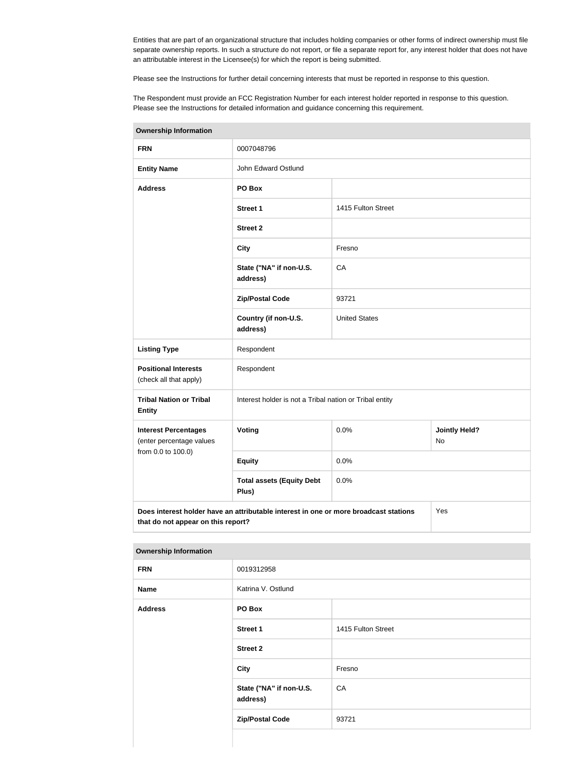Entities that are part of an organizational structure that includes holding companies or other forms of indirect ownership must file separate ownership reports. In such a structure do not report, or file a separate report for, any interest holder that does not have an attributable interest in the Licensee(s) for which the report is being submitted.

Please see the Instructions for further detail concerning interests that must be reported in response to this question.

The Respondent must provide an FCC Registration Number for each interest holder reported in response to this question. Please see the Instructions for detailed information and guidance concerning this requirement.

| <b>Ownership Information</b>                            |                                                                                      |                                                         |                            |  |
|---------------------------------------------------------|--------------------------------------------------------------------------------------|---------------------------------------------------------|----------------------------|--|
| <b>FRN</b>                                              | 0007048796                                                                           |                                                         |                            |  |
| <b>Entity Name</b>                                      | John Edward Ostlund                                                                  |                                                         |                            |  |
| <b>Address</b>                                          | PO Box                                                                               |                                                         |                            |  |
|                                                         | Street 1                                                                             | 1415 Fulton Street                                      |                            |  |
|                                                         | <b>Street 2</b>                                                                      |                                                         |                            |  |
|                                                         | <b>City</b>                                                                          | Fresno                                                  |                            |  |
|                                                         | State ("NA" if non-U.S.<br>address)                                                  | CA                                                      |                            |  |
|                                                         | <b>Zip/Postal Code</b>                                                               | 93721                                                   |                            |  |
|                                                         | Country (if non-U.S.<br>address)                                                     | <b>United States</b>                                    |                            |  |
| <b>Listing Type</b>                                     | Respondent                                                                           |                                                         |                            |  |
| <b>Positional Interests</b><br>(check all that apply)   | Respondent                                                                           |                                                         |                            |  |
| <b>Tribal Nation or Tribal</b><br><b>Entity</b>         |                                                                                      | Interest holder is not a Tribal nation or Tribal entity |                            |  |
| <b>Interest Percentages</b><br>(enter percentage values | Voting                                                                               | 0.0%                                                    | <b>Jointly Held?</b><br>No |  |
| from 0.0 to 100.0)                                      | <b>Equity</b>                                                                        | 0.0%                                                    |                            |  |
|                                                         | <b>Total assets (Equity Debt</b><br>Plus)                                            | 0.0%                                                    |                            |  |
| that do not annoar on this ronort?                      | Does interest holder have an attributable interest in one or more broadcast stations |                                                         | Yes                        |  |

**Ownership Information**

| that do not appear on this report? |                                     |                    |  |  |
|------------------------------------|-------------------------------------|--------------------|--|--|
|                                    |                                     |                    |  |  |
| <b>Ownership Information</b>       |                                     |                    |  |  |
| <b>FRN</b>                         | 0019312958                          |                    |  |  |
| <b>Name</b>                        | Katrina V. Ostlund                  |                    |  |  |
| <b>Address</b>                     | PO Box                              |                    |  |  |
|                                    | Street 1                            | 1415 Fulton Street |  |  |
|                                    | <b>Street 2</b>                     |                    |  |  |
|                                    | <b>City</b>                         | Fresno             |  |  |
|                                    | State ("NA" if non-U.S.<br>address) | CA                 |  |  |
|                                    | <b>Zip/Postal Code</b>              | 93721              |  |  |
|                                    |                                     |                    |  |  |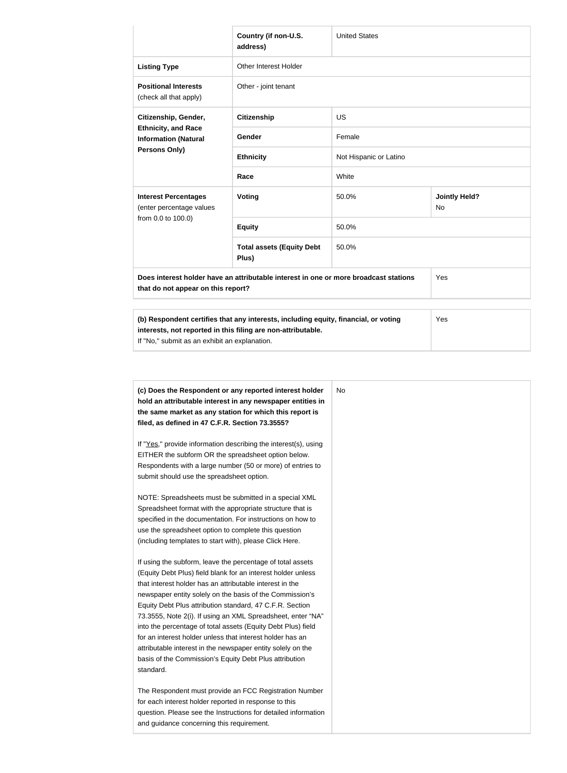|                                                              | Country (if non-U.S.<br>address)                                                     | <b>United States</b>   |                            |  |  |
|--------------------------------------------------------------|--------------------------------------------------------------------------------------|------------------------|----------------------------|--|--|
| <b>Listing Type</b>                                          | Other Interest Holder                                                                |                        |                            |  |  |
| <b>Positional Interests</b><br>(check all that apply)        | Other - joint tenant                                                                 |                        |                            |  |  |
| Citizenship, Gender,                                         | <b>Citizenship</b>                                                                   | <b>US</b>              |                            |  |  |
| <b>Ethnicity, and Race</b><br><b>Information (Natural</b>    | Gender                                                                               | Female                 |                            |  |  |
| Persons Only)                                                | <b>Ethnicity</b>                                                                     | Not Hispanic or Latino |                            |  |  |
|                                                              | Race                                                                                 | White                  |                            |  |  |
| <b>Interest Percentages</b><br>(enter percentage values      | <b>Voting</b>                                                                        | 50.0%                  | <b>Jointly Held?</b><br>No |  |  |
| from 0.0 to 100.0)                                           | <b>Equity</b>                                                                        | 50.0%                  |                            |  |  |
|                                                              | <b>Total assets (Equity Debt</b><br>Plus)                                            | 50.0%                  |                            |  |  |
| that do not appear on this report?                           | Does interest holder have an attributable interest in one or more broadcast stations |                        | Yes                        |  |  |
| interests, not reported in this filing are non-attributable. | (b) Respondent certifies that any interests, including equity, financial, or voting  |                        | Yes                        |  |  |

If "No," submit as an exhibit an explanation.

| (c) Does the Respondent or any reported interest holder<br>hold an attributable interest in any newspaper entities in<br>the same market as any station for which this report is | No. |
|----------------------------------------------------------------------------------------------------------------------------------------------------------------------------------|-----|
| filed, as defined in 47 C.F.R. Section 73.3555?                                                                                                                                  |     |
| If "Yes," provide information describing the interest(s), using                                                                                                                  |     |
| EITHER the subform OR the spreadsheet option below.                                                                                                                              |     |
| Respondents with a large number (50 or more) of entries to                                                                                                                       |     |
| submit should use the spreadsheet option.                                                                                                                                        |     |
| NOTE: Spreadsheets must be submitted in a special XML                                                                                                                            |     |
| Spreadsheet format with the appropriate structure that is                                                                                                                        |     |
| specified in the documentation. For instructions on how to                                                                                                                       |     |
| use the spreadsheet option to complete this question                                                                                                                             |     |
| (including templates to start with), please Click Here.                                                                                                                          |     |
| If using the subform, leave the percentage of total assets                                                                                                                       |     |
| (Equity Debt Plus) field blank for an interest holder unless                                                                                                                     |     |
| that interest holder has an attributable interest in the                                                                                                                         |     |
| newspaper entity solely on the basis of the Commission's                                                                                                                         |     |
| Equity Debt Plus attribution standard, 47 C.F.R. Section                                                                                                                         |     |
| 73.3555, Note 2(i). If using an XML Spreadsheet, enter "NA"                                                                                                                      |     |
| into the percentage of total assets (Equity Debt Plus) field                                                                                                                     |     |
| for an interest holder unless that interest holder has an                                                                                                                        |     |
| attributable interest in the newspaper entity solely on the                                                                                                                      |     |
| basis of the Commission's Equity Debt Plus attribution                                                                                                                           |     |
| standard.                                                                                                                                                                        |     |
| The Respondent must provide an FCC Registration Number                                                                                                                           |     |
| for each interest holder reported in response to this                                                                                                                            |     |
| question. Please see the Instructions for detailed information                                                                                                                   |     |
| and guidance concerning this requirement.                                                                                                                                        |     |